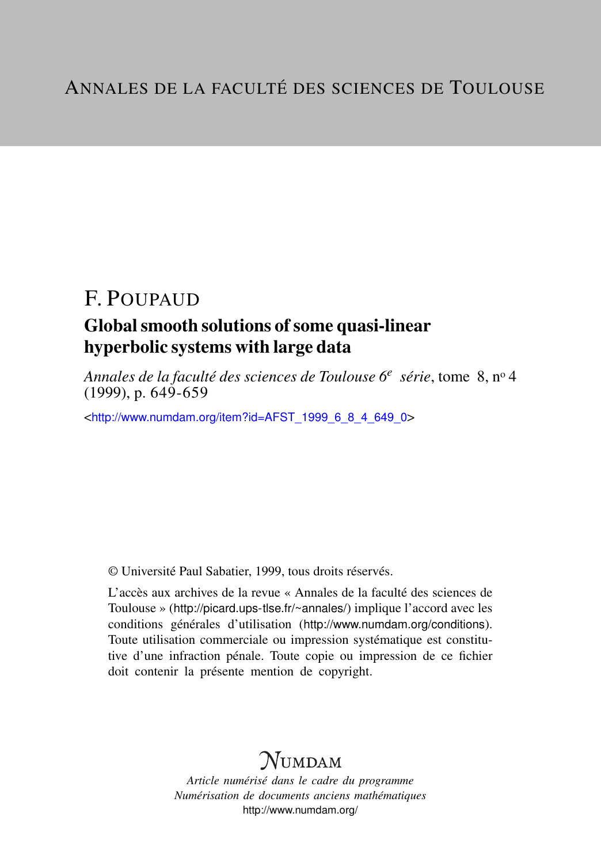# F. POUPAUD

# Global smooth solutions of some quasi-linear hyperbolic systems with large data

*Annales de la faculté des sciences de Toulouse 6<sup>e</sup> série*, tome 8, n<sup>o</sup> 4  $(1999)$ , p. 649-659

<[http://www.numdam.org/item?id=AFST\\_1999\\_6\\_8\\_4\\_649\\_0](http://www.numdam.org/item?id=AFST_1999_6_8_4_649_0)>

© Université Paul Sabatier, 1999, tous droits réservés.

L'accès aux archives de la revue « Annales de la faculté des sciences de Toulouse » (<http://picard.ups-tlse.fr/~annales/>) implique l'accord avec les conditions générales d'utilisation (<http://www.numdam.org/conditions>). Toute utilisation commerciale ou impression systématique est constitutive d'une infraction pénale. Toute copie ou impression de ce fichier doit contenir la présente mention de copyright.

# **NUMDAM**

*Article numérisé dans le cadre du programme Numérisation de documents anciens mathématiques* <http://www.numdam.org/>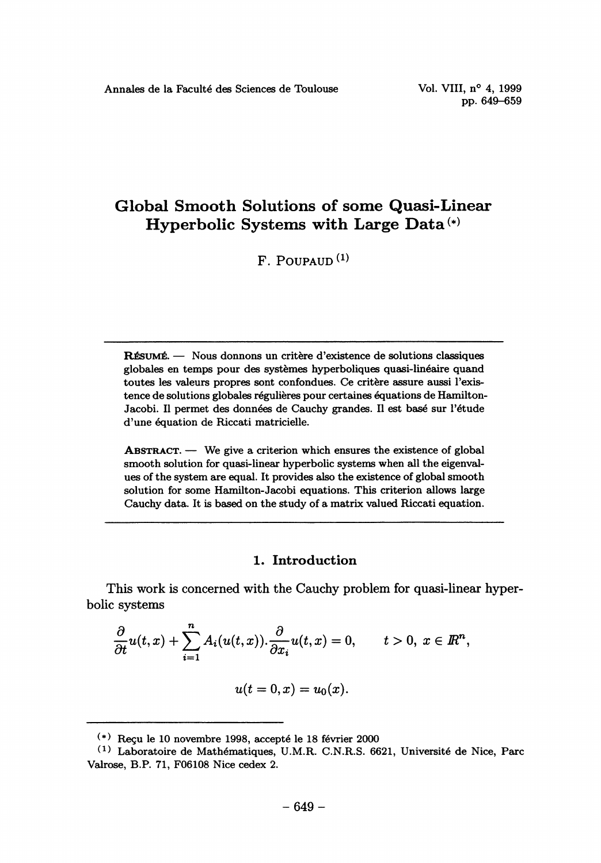pp. 649-659

# Global Smooth Solutions of some Quasi-Linear Hyperbolic Systems with Large Data (\*)

F. POUPAUD (1)

RÉSUMÉ. — Nous donnons un critère d'existence de solutions classiques globales en temps pour des systemes hyperboliques quasi-lineaire quand toutes les valeurs propres sont confondues. Ce critere assure aussi l'existence de solutions globales régulières pour certaines équations de Hamilton-Jacobi. Il permet des données de Cauchy grandes. Il est base sur l'étude d'une équation de Riccati matricielle.

 $ABSTRACT. - We give a criterion which ensures the existence of global$ smooth solution for quasi-linear hyperbolic systems when all the eigenval ues of the system are equal. It provides also the existence of global smooth solution for some Hamilton-Jacobi equations. This criterion allows large Cauchy data. It is based on the study of a matrix valued Riccati equation.

# 1. Introduction

This work is concerned with the Cauchy problem for quasi-linear hyperbolic systems

$$
\frac{\partial}{\partial t}u(t,x)+\sum_{i=1}^n A_i(u(t,x))\cdot\frac{\partial}{\partial x_i}u(t,x)=0, \qquad t>0, \ x\in\mathbb{R}^n,
$$

$$
u(t=0,x)=u_0(x).
$$

 $(*)$  Recu le 10 novembre 1998, accepté le 18 février 2000

 $^{(1)}$  Laboratoire de Mathématiques, U.M.R. C.N.R.S. 6621, Université de Nice, Parc Valrose, B.P. 71, F06108 Nice cedex 2.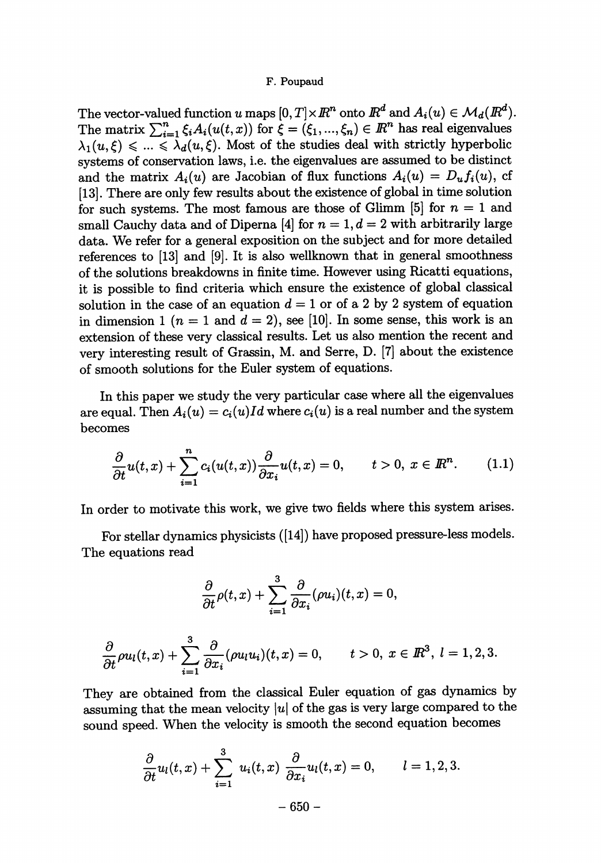The vector-valued function u maps  $[0, T] \times \mathbb{R}^n$  onto  $\mathbb{R}^d$  and  $A_i(u) \in \mathcal{M}_d(\mathbb{R}^d)$ . The matrix  $\sum_{i=1}^{n} \xi_i A_i(u(t,x))$  for  $\xi = (\xi_1, ..., \xi_n) \in \mathbb{R}^n$  has real eigenvalues  $\lambda_1(u, \xi) \leq \ldots \leq \lambda_d(u, \xi)$ . Most of the studies deal with strictly hyperbolic systems of conservation laws, i.e. the eigenvalues are assumed to be distinct and the matrix  $A_i(u)$  are Jacobian of flux functions  $A_i(u) = D_u f_i(u)$ , cf [13]. There are only few results about the existence of global in time solution for such systems. The most famous are those of Glimm [5] for  $n = 1$  and small Cauchy data and of Diperna [4] for  $n = 1, d = 2$  with arbitrarily large data. We refer for a general exposition on the subject and for more detailed references to [13] and [9]. It is also wellknown that in general smoothness of the solutions breakdowns in finite time. However using Ricatti equations, it is possible to find criteria which ensure the existence of global classical solution in the case of an equation  $d = 1$  or of a 2 by 2 system of equation in dimension 1 ( $n = 1$  and  $d = 2$ ), see [10]. In some sense, this work is an extension of these very classical results. Let us also mention the recent and very interesting result of Grassin, M. and Serre, D. [7] about the existence of smooth solutions for the Euler system of equations.

In this paper we study the very particular case where all the eigenvalues are equal. Then  $A_i(u) = c_i(u)Id$  where  $c_i(u)$  is a real number and the system becomes

$$
\frac{\partial}{\partial t}u(t,x)+\sum_{i=1}^nc_i(u(t,x))\frac{\partial}{\partial x_i}u(t,x)=0, \qquad t>0, \ x\in\mathbb{R}^n. \tag{1.1}
$$

In order to motivate this work, we give two fields where this system arises.

For stellar dynamics physicists ([14]) have proposed pressure-less models. The equations read

$$
\frac{\partial}{\partial t}\rho(t,x)+\sum_{i=1}^3\frac{\partial}{\partial x_i}(\rho u_i)(t,x)=0,
$$

$$
\frac{\partial}{\partial t}\rho u_l(t,x)+\sum_{i=1}^3\frac{\partial}{\partial x_i}(\rho u_l u_i)(t,x)=0,\qquad t>0,\ x\in\mathbb{R}^3,\ l=1,2,3.
$$

They are obtained from the classical Euler equation of gas dynamics by assuming that the mean velocity  $|u|$  of the gas is very large compared to the sound speed. When the velocity is smooth the second equation becomes

$$
\frac{\partial}{\partial t}u_l(t,x)+\sum_{i=1}^3 u_i(t,x)\frac{\partial}{\partial x_i}u_l(t,x)=0, \qquad l=1,2,3.
$$
  
-650 -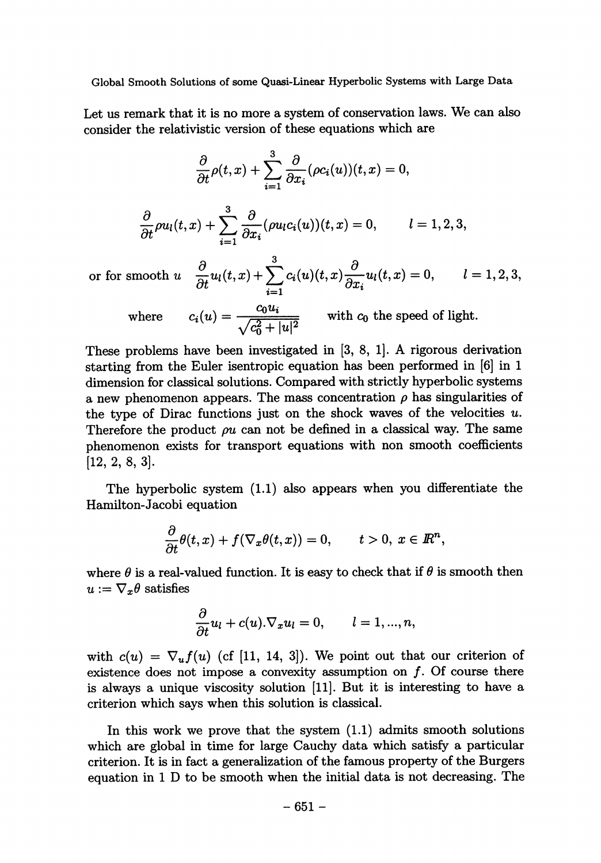Let us remark that it is no more a system of conservation laws. We can also consider the relativistic version of these equations which are

$$
\frac{\partial}{\partial t}\rho(t,x)+\sum_{i=1}^3\frac{\partial}{\partial x_i}(\rho c_i(u))(t,x)=0,
$$

$$
\frac{\partial}{\partial t}\rho u_l(t,x) + \sum_{i=1}^3 \frac{\partial}{\partial x_i}(\rho u_l c_i(u))(t,x) = 0, \qquad l = 1,2,3,
$$

or for smooth  $u = \frac{\partial u}{\partial t} u(t, x) + \sum_{i=1}^{\infty} c_i(u)(t, x) \frac{\partial u}{\partial x_i} u(t, x) = 0, \quad l = 1, 2, 3,$ 

where 
$$
c_i(u) = \frac{c_0 u_i}{\sqrt{c_0^2 + |u|^2}}
$$
 with  $c_0$  the speed of light.

These problems have been investigated in [3, 8, 1]. A rigorous derivation starting from the Euler isentropic equation has been performed in [6] in 1 dimension for classical solutions. Compared with strictly hyperbolic systems a new phenomenon appears. The mass concentration  $\rho$  has singularities of the type of Dirac functions just on the shock waves of the velocities  $u$ . Therefore the product  $\omega$  can not be defined in a classical way. The same phenomenon exists for transport equations with non smooth coefficients [12, 2, 8, 3].

The hyperbolic system (1.1) also appears when you differentiate the Hamilton-Jacobi equation

$$
\frac{\partial}{\partial t}\theta(t,x)+f(\nabla_x\theta(t,x))=0, \qquad t>0, \ x\in I\!\!R^n,
$$

where  $\theta$  is a real-valued function. It is easy to check that if  $\theta$  is smooth then  $u := \nabla_x \theta$  satisfies

$$
\frac{\partial}{\partial t}u_l + c(u).\nabla_x u_l = 0, \qquad l = 1, ..., n,
$$

with  $c(u) = \nabla_u f(u)$  (cf [11, 14, 3]). We point out that our criterion of existence does not impose a convexity assumption on  $f$ . Of course there is always a unique viscosity solution [11]. But it is interesting to have a criterion which says when this solution is classical.

In this work we prove that the system  $(1.1)$  admits smooth solutions which are global in time for large Cauchy data which satisfy a particular criterion. It is in fact a generalization of the famous property of the Burgers equation in 1 D to be smooth when the initial data is not decreasing. The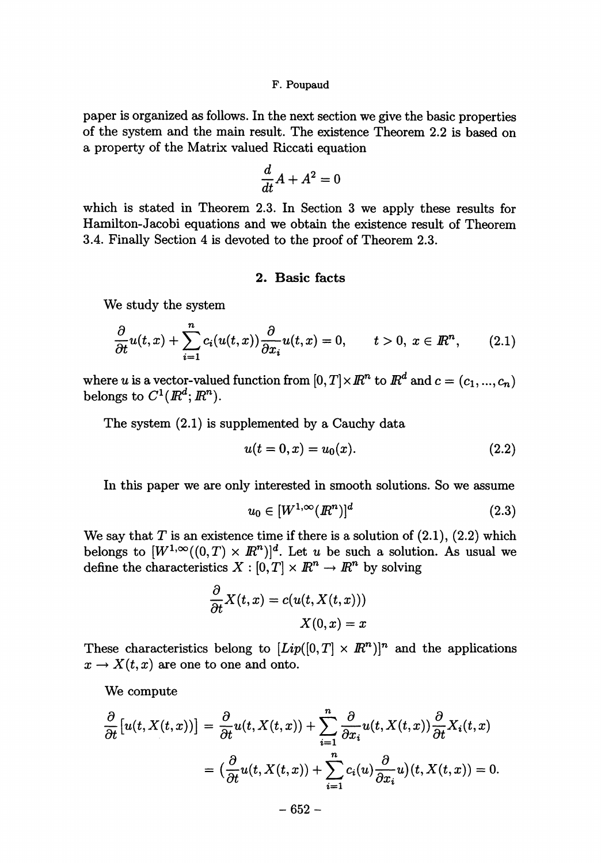paper is organized as follows. In the next section we give the basic properties of the system and the main result. The existence Theorem 2.2 is based on a property of the Matrix valued Riccati equation

$$
\frac{d}{dt}A+A^2=0
$$

which is stated in Theorem 2.3. In Section 3 we apply these results for Hamilton-Jacobi equations and we obtain the existence result of Theorem 3.4. Finally Section 4 is devoted to the proof of Theorem 2.3.

# 2. Basic facts

We study the system

$$
\frac{\partial}{\partial t}u(t,x)+\sum_{i=1}^nc_i(u(t,x))\frac{\partial}{\partial x_i}u(t,x)=0, \qquad t>0, \ x\in\mathbb{R}^n,\qquad(2.1)
$$

where u is a vector-valued function from  $[0, T] \times \mathbb{R}^n$  to  $\mathbb{R}^d$  and  $c = (c_1, ..., c_n)$ belongs to  $C^1(\mathbb{R}^d; \mathbb{R}^n)$ .

The system (2.1) is supplemented by a Cauchy data

$$
u(t=0,x) = u_0(x). \tag{2.2}
$$

In this paper we are only interested in smooth solutions. So we assume

$$
u_0 \in [W^{1,\infty}(\mathbb{R}^n)]^d \tag{2.3}
$$

We say that T is an existence time if there is a solution of  $(2.1)$ ,  $(2.2)$  which belongs to  $[W^{1,\infty}((0,T)\times \mathbb{R}^n)]^d$ . Let u be such a solution. As usual we define the characteristics  $X : [0, T] \times \mathbb{R}^n \to \mathbb{R}^n$  by solving

$$
\frac{\partial}{\partial t}X(t,x) = c(u(t, X(t,x)))
$$

$$
X(0,x) = x
$$

These characteristics belong to  $[Lip([0,T] \times \mathbb{R}^n)]^n$  and the applications  $x \to X(t, x)$  are one to one and onto.

We compute

$$
\frac{\partial}{\partial t}[u(t, X(t, x))] = \frac{\partial}{\partial t}u(t, X(t, x)) + \sum_{i=1}^{n} \frac{\partial}{\partial x_{i}}u(t, X(t, x))\frac{\partial}{\partial t}X_{i}(t, x)
$$

$$
= \left(\frac{\partial}{\partial t}u(t, X(t, x)) + \sum_{i=1}^{n} c_{i}(u)\frac{\partial}{\partial x_{i}}u\right)(t, X(t, x)) = 0.
$$

 $-652-$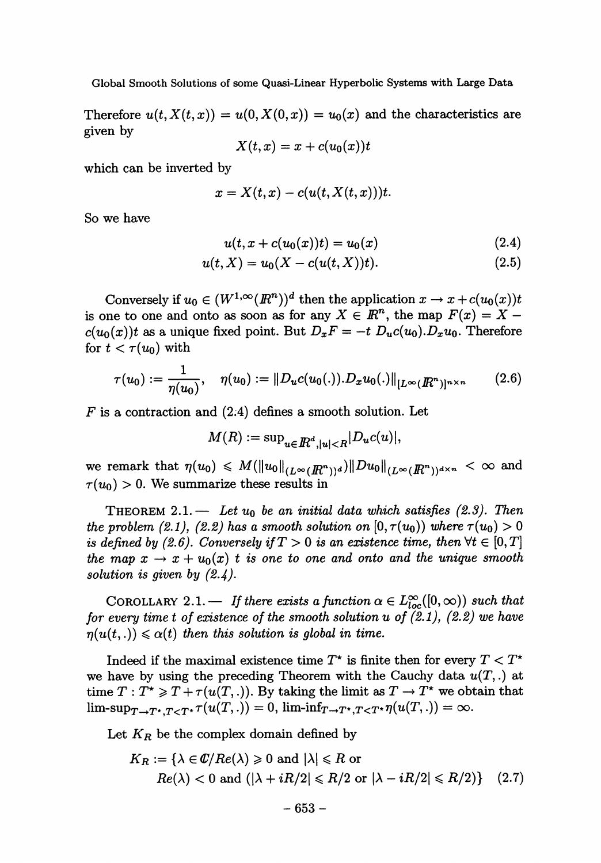Therefore  $u(t, X(t, x)) = u(0, X(0, x)) = u_0(x)$  and the characteristics are given by

$$
X(t,x)=x+c(u_0(x))t\\
$$

which can be inverted by

$$
x=X(t,x)-c(u(t,X(t,x)))t.
$$

So we have

$$
u(t, x + c(u_0(x))t) = u_0(x) \tag{2.4}
$$

$$
u(t, X) = u_0(X - c(u(t, X))t). \tag{2.5}
$$

Conversely if  $u_0 \in (W^{1,\infty}(R^n))^d$  then the application  $x \to x + c(u_0(x))t$ is one to one and onto as soon as for any  $X \in \mathbb{R}^n$ , the map  $F(x) = X$  $c(u_0(x))t$  as a unique fixed point. But  $D_xF = -t D_u c(u_0) D_x u_0$ . Therefore for  $t < \tau(u_0)$  with

$$
\tau(u_0) := \frac{1}{\eta(u_0)}, \quad \eta(u_0) := ||D_u c(u_0(.)). D_x u_0(.)||_{[L^{\infty}(I\!\!R^n)]^{n \times n}} \qquad (2.6)
$$

 $F$  is a contraction and  $(2.4)$  defines a smooth solution. Let

$$
M(R) := \sup_{u \in \mathbb{R}^d, |u| < R} |D_u c(u)|,
$$

we remark that  $\eta(u_0) \leq M(||u_0||_{(L^{\infty}(I\!\! R^n))^d}) ||Du_0||_{(L^{\infty}(I\!\! R^n))^{d \times n}} < \infty$  and  $\tau(u_0) > 0$ . We summarize these results in

THEOREM 2.1. - Let  $u_0$  be an initial data which satisfies (2.3). Then the problem (2.1), (2.2) has a smooth solution on  $[0, \tau(u_0))$  where  $\tau(u_0) > 0$ is defined by (2.6). Conversely if  $T > 0$  is an existence time, then  $\forall t \in [0, T]$ the map  $x \to x + u_0(x)$  t is one to one and onto and the unique smooth solution is given by  $(2.4)$ .

COROLLARY 2.1. - If there exists a function  $\alpha \in L^{\infty}_{loc}([0,\infty))$  such that for every time t of existence of the smooth solution u of  $(2.1)$ ,  $(2.2)$  we have  $r(n(u(t, .)) \leq \alpha(t)$  then this solution is global in time.

Indeed if the maximal existence time  $T^*$  is finite then for every  $T < T^*$ we have by using the preceding Theorem with the Cauchy data  $u(T,.)$  at time  $T : T^* \geq T + \tau(u(T, .))$ . By taking the limit as  $T \to T^*$  we obtain that  $\lim\text{-}\sup_{T\to T^*,T\leq T^*}\tau(u(T,.))=0,\\ \lim\text{-}\inf_{T\to T^*,T\leq T^*}\eta(u(T,.))=\infty.$ 

Let  $K_R$  be the complex domain defined by

$$
K_R := \{ \lambda \in \mathbb{C} / Re(\lambda) \geq 0 \text{ and } |\lambda| \leq R \text{ or}
$$
  
 
$$
Re(\lambda) < 0 \text{ and } (|\lambda + iR/2| \leq R/2 \text{ or } |\lambda - iR/2| \leq R/2) \} \quad (2.7)
$$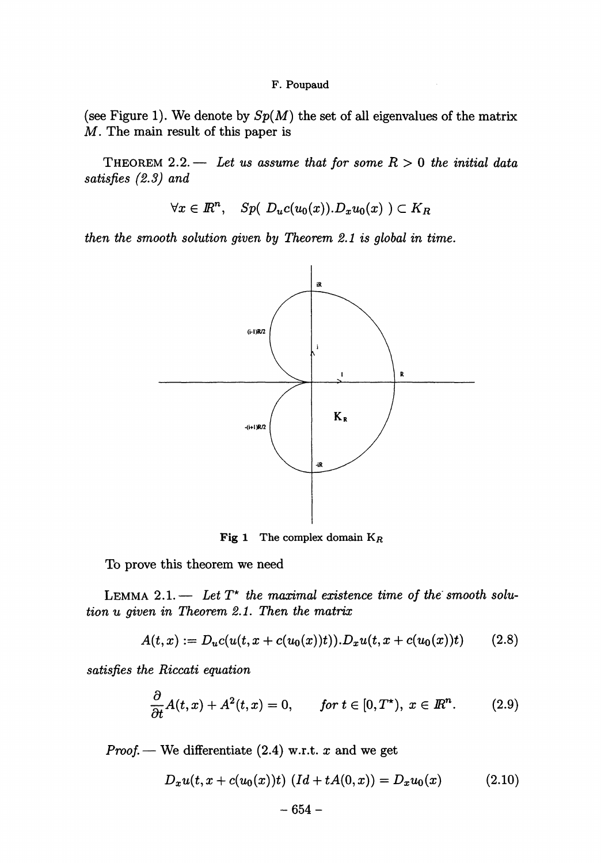(see Figure 1). We denote by  $Sp(M)$  the set of all eigenvalues of the matrix M. The main result of this paper is

THEOREM 2.2. - Let us assume that for some  $R > 0$  the initial data satisfies (2.3) and

$$
\forall x \in \mathbb{R}^n, \quad Sp(\ D_u c(u_0(x)). D_x u_0(x) ) \subset K_R
$$

then the smooth solution given by Theorem 2.1 is global in time.



**Fig 1** The complex domain  $K_R$ 

To prove this theorem we need

LEMMA 2.1. - Let  $T^*$  the maximal existence time of the smooth solu $tion~u~given~in~Theorem~2.1.$  Then the matrix

$$
A(t,x) := D_u c(u(t,x + c(u_0(x))t)). D_x u(t, x + c(u_0(x))t) \qquad (2.8)
$$

satisfies the Riccati equation

$$
\frac{\partial}{\partial t}A(t,x)+A^2(t,x)=0, \qquad \text{for } t\in[0,T^{\star}), \ x\in\mathbb{R}^n. \tag{2.9}
$$

Proof. — We differentiate  $(2.4)$  w.r.t. x and we get

$$
D_x u(t, x + c(u_0(x))t) \ (Id + tA(0, x)) = D_x u_0(x) \qquad (2.10)
$$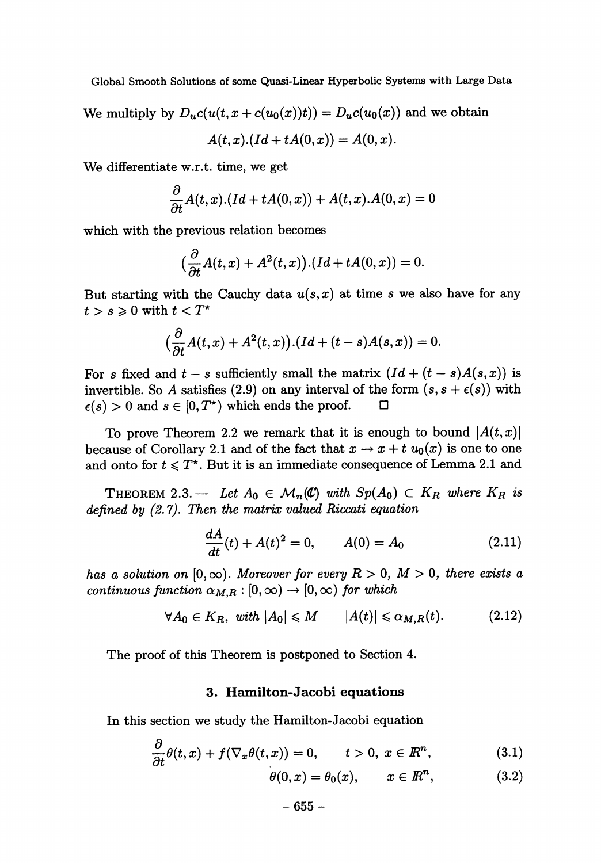We multiply by  $D_u c(u(t, x + c(u_0(x))t)) = D_u c(u_0(x))$  and we obtain

$$
A(t,x).(Id+tA(0,x))=A(0,x).
$$

We differentiate w.r.t. time, we get

$$
\frac{\partial}{\partial t}A(t,x).(Id+tA(0,x))+A(t,x).A(0,x)=0
$$

which with the previous relation becomes

$$
\left(\frac{\partial}{\partial t}A(t,x)+A^2(t,x)\right)\cdot\left( Id+tA(0,x)\right)=0.
$$

But starting with the Cauchy data  $u(s, x)$  at time s we also have for any  $t > s \geqslant 0$  with  $t < T^*$ 

$$
\big(\frac{\partial}{\partial t}A(t,x)+A^2(t,x)\big). (Id+(t-s)A(s,x))=0.
$$

For s fixed and  $t - s$  sufficiently small the matrix  $(Id + (t - s)A(s, x))$  is invertible. So A satisfies (2.9) on any interval of the form  $(s, s + \epsilon(s))$  with  $\epsilon(s) > 0$  and  $s \in [0, T^*)$  which ends the proof.  $\Box$ 

To prove Theorem 2.2 we remark that it is enough to bound  $|A(t, x)|$ because of Corollary 2.1 and of the fact that  $x \to x + t u_0(x)$  is one to one and onto for  $t \leq T^*$ . But it is an immediate consequence of Lemma 2.1 and

THEOREM 2.3. - Let  $A_0 \in \mathcal{M}_n(\mathbb{C})$  with  $Sp(A_0) \subset K_R$  where  $K_R$  is defined by  $(2.7)$ . Then the matrix valued Riccati equation

$$
\frac{dA}{dt}(t) + A(t)^2 = 0, \qquad A(0) = A_0 \tag{2.11}
$$

has a solution on  $[0, \infty)$ . Moreover for every  $R > 0$ ,  $M > 0$ , there exists a continuous function  $\alpha_{M,R} : [0, \infty) \to [0, \infty)$  for which

$$
\forall A_0 \in K_R, \text{ with } |A_0| \leqslant M \qquad |A(t)| \leqslant \alpha_{M,R}(t). \tag{2.12}
$$

The proof of this Theorem is postponed to Section 4.

### 3. Hamilton-Jacobi equations

In this section we study the Hamilton-Jacobi equation

 $\Delta$ 

$$
\frac{\partial}{\partial t}\theta(t,x) + f(\nabla_x \theta(t,x)) = 0, \qquad t > 0, \ x \in \mathbb{R}^n,
$$
\n(3.1)

$$
\theta(0,x) = \theta_0(x), \qquad x \in \mathbb{R}^n, \tag{3.2}
$$

$$
-655- \nonumber\\
$$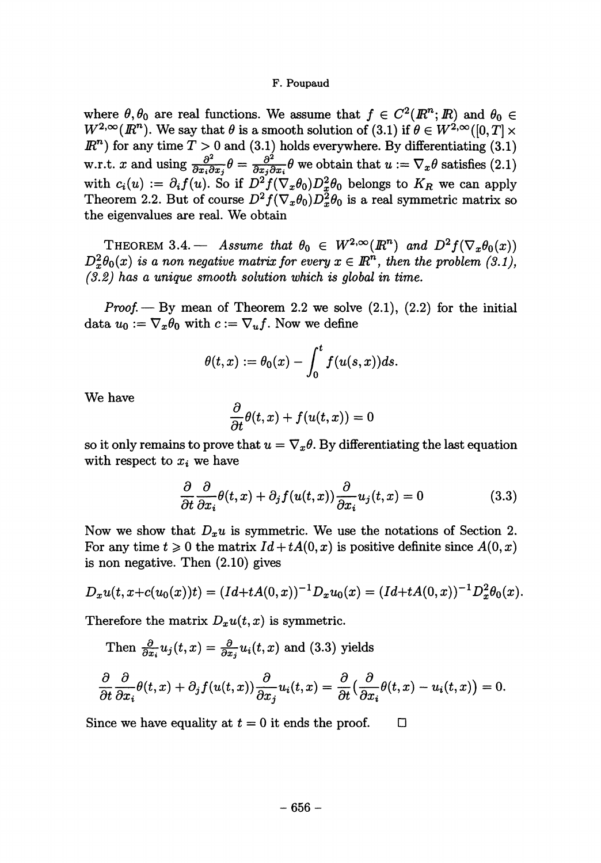where  $\theta$ ,  $\theta_0$  are real functions. We assume that  $f \in C^2(\mathbb{R}^n;\mathbb{R})$  and  $\theta_0 \in$  $W^{2,\infty}(\mathbb{R}^n)$ . We say that  $\theta$  is a smooth solution of (3.1) if  $\theta \in W^{2,\infty}([0,T] \times$  $\mathbb{R}^n$  for any time  $T > 0$  and (3.1) holds everywhere. By differentiating (3.1) w.r.t. x and using  $\frac{\partial^2}{\partial x_i \partial x_j} \theta = \frac{\partial^2}{\partial x_i \partial x_i} \theta$  we obtain that  $u := \nabla_x \theta$  satisfies (2.1) with  $c_i(u) := \partial_i f(u)$ . So if  $D^2 f(\nabla_x \theta_0) D^2_x \theta_0$  belongs to  $K_R$  we can apply Theorem 2.2. But of course  $D^2 f(\nabla_x \theta_0) D_x^2 \theta_0$  is a real symmetric matrix so the eigenvalues are real. We obtain

THEOREM 3.4. - Assume that  $\theta_0 \in W^{2,\infty}(\mathbb{R}^n)$  and  $D^2 f(\nabla_x \theta_0(x))$  $D_x^2\theta_0(x)$  is a non negative matrix for every  $x \in \mathbb{R}^n$ , then the problem (3.1),  $(3.2)$  has a unique smooth solution which is global in time.

*Proof.*  $-$  By mean of Theorem 2.2 we solve  $(2.1)$ ,  $(2.2)$  for the initial data  $u_0 := \nabla_x \theta_0$  with  $c := \nabla_u f$ . Now we define

$$
\theta(t,x):=\theta_0(x)-\int_0^t f(u(s,x))ds.
$$

We have

$$
\frac{\partial}{\partial t}\theta(t,x)+f(u(t,x))=0
$$

so it only remains to prove that  $u = \nabla_x \theta$ . By differentiating the last equation with respect to  $x_i$  we have

$$
\frac{\partial}{\partial t} \frac{\partial}{\partial x_i} \theta(t, x) + \partial_j f(u(t, x)) \frac{\partial}{\partial x_i} u_j(t, x) = 0 \tag{3.3}
$$

Now we show that  $D_x u$  is symmetric. We use the notations of Section 2. For any time  $t \geq 0$  the matrix  $Id + tA(0, x)$  is positive definite since  $A(0, x)$ is non negative. Then (2.10) gives

$$
D_x u(t, x + c(u_0(x))t) = (Id + tA(0, x))^{-1}D_x u_0(x) = (Id + tA(0, x))^{-1}D_x^2 \theta_0(x).
$$

Therefore the matrix  $D_x u(t, x)$  is symmetric.

Then 
$$
\frac{\partial}{\partial x_i} u_j(t, x) = \frac{\partial}{\partial x_j} u_i(t, x)
$$
 and (3.3) yields  
\n
$$
\frac{\partial}{\partial t} \frac{\partial}{\partial x_i} \theta(t, x) + \partial_j f(u(t, x)) \frac{\partial}{\partial x_j} u_i(t, x) = \frac{\partial}{\partial t} \left( \frac{\partial}{\partial x_i} \theta(t, x) - u_i(t, x) \right) = 0.
$$

Since we have equality at  $t = 0$  it ends the proof.  $\Box$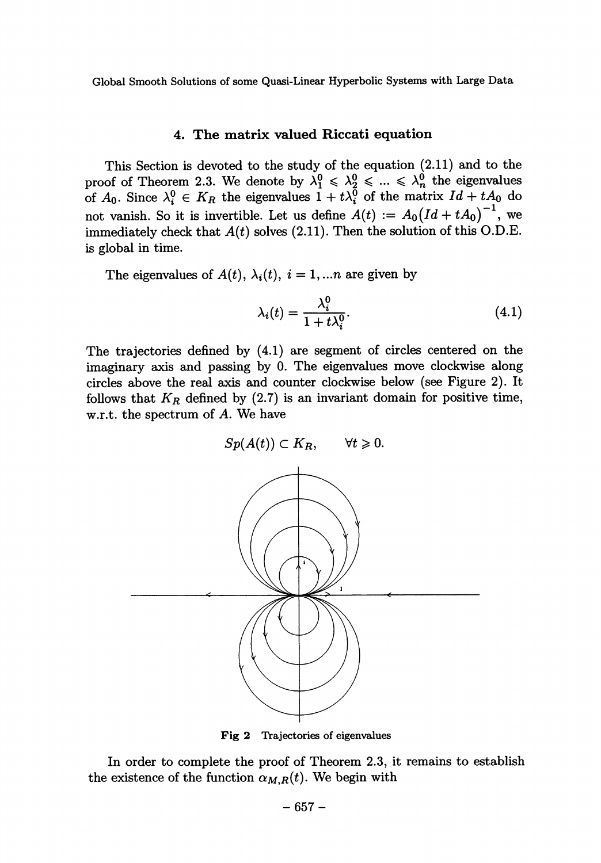# 4. The matrix valued Riccati equation

This Section is devoted to the study of the equation (2.11) and to the proof of Theorem 2.3. We denote by  $\lambda_1^0 \leq \lambda_2^0 \leq \ldots \leq \lambda_n^0$  the eigenvalues of  $A_0$ . Since  $\lambda_i^0 \in K_R$  the eigenvalues  $1 + t\lambda_i^0$  of the matrix  $Id + tA_0$  do not vanish. So it is invertible. Let us define  $A(t) := A_0 (Id + tA_0)^{-1}$ , we immediately check that  $A(t)$  solves (2.11). Then the solution of this O.D.E. is global in time.

The eigenvalues of  $A(t)$ ,  $\lambda_i(t)$ ,  $i = 1,...n$  are given by

$$
\lambda_i(t) = \frac{\lambda_i^0}{1 + t\lambda_i^0}.\tag{4.1}
$$

The trajectories defined by (4.1) are segment of circles centered on the imaginary axis and passing by 0. The eigenvalues move clockwise along circles above the real axis and counter clockwise below (see Figure 2). It follows that  $K_R$  defined by (2.7) is an invariant domain for positive time, w.r.t. the spectrum of A. We have



Fig 2 Trajectories of eigenvalues

In order to complete the proof of Theorem 2.3, it remains to establish the existence of the function  $\alpha_{M,R}(t)$ . We begin with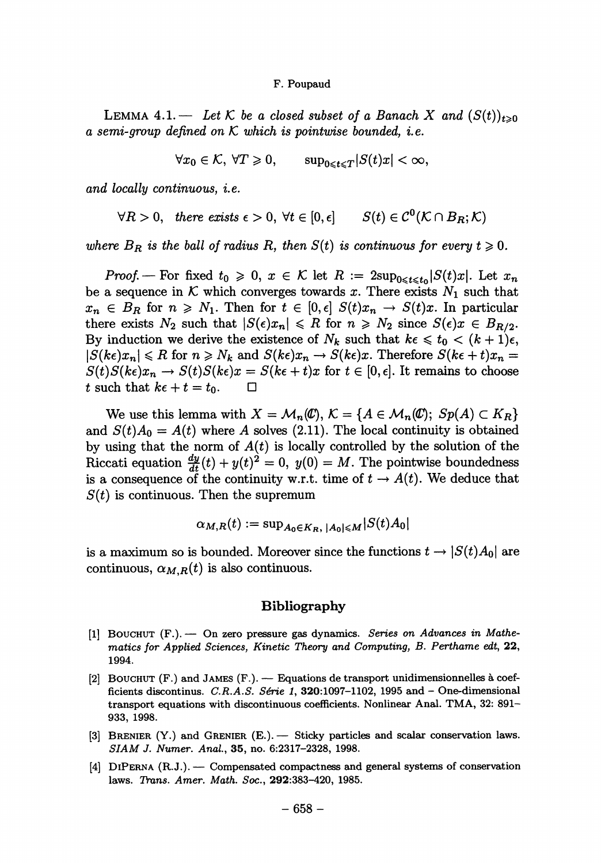LEMMA 4.1. -- Let K be a closed subset of a Banach X and  $(S(t))_{t>0}$ a semi-group defined on  $K$  which is pointwise bounded, i.e.

 $\forall x_0 \in \mathcal{K}, \forall T \geq 0, \qquad \sup_{0 \leq t \leq T} |S(t)x| < \infty,$ 

and locally continuous, *i.e.* 

$$
\forall R > 0, \quad there \; exists \; \epsilon > 0, \; \forall t \in [0, \epsilon] \qquad S(t) \in \mathcal{C}^0(\mathcal{K} \cap B_R; \mathcal{K})
$$

where  $B_R$  is the ball of radius R, then  $S(t)$  is continuous for every  $t \geq 0$ .

*Proof.* – For fixed  $t_0 \geq 0$ ,  $x \in K$  let  $R := 2\sup_{0 \leq t \leq t_0} |S(t)x|$ . Let  $x_n$ be a sequence in  $K$  which converges towards x. There exists  $N_1$  such that  $x_n \in B_R$  for  $n \geq N_1$ . Then for  $t \in [0, \epsilon]$   $S(t)x_n \to S(t)x$ . In particular there exists  $N_2$  such that  $|S(\epsilon)x_n| \le R$  for  $n \ge N_2$  since  $S(\epsilon)x \in B_{R/2}$ . By induction we derive the existence of  $N_k$  such that  $k\epsilon \leq t_0 < (k + 1)\epsilon$ ,  $|S(k\epsilon)x_n| \leq R$  for  $n \geq N_k$  and  $S(k\epsilon)x_n \to S(k\epsilon)x$ . Therefore  $S(k\epsilon + t)x_n =$  $S(t)S(ke)x_n \to S(t)S(ke)x = S(ke+t)x$  for  $t \in [0, \epsilon]$ . It remains to choose t such that  $k\epsilon + t = t_0$ .  $\Box$ 

We use this lemma with  $X = \mathcal{M}_n(\mathcal{C}), \ \mathcal{K} = \{A \in \mathcal{M}_n(\mathcal{C}); \ Sp(A) \subset K_R\}$ and  $S(t)A_0 = A(t)$  where A solves (2.11). The local continuity is obtained by using that the norm of  $A(t)$  is locally controlled by the solution of the Riccati equation  $\frac{dy}{dt}(t) + y(t)^2 = 0$ ,  $y(0) = M$ . The pointwise boundedness is a consequence of the continuity w.r.t. time of  $t \to A(t)$ . We deduce that  $S(t)$  is continuous. Then the supremum

$$
\alpha_{M,R}(t) := \sup_{A_0 \in K_R, |A_0| \le M} |S(t)A_0|
$$

is a maximum so is bounded. Moreover since the functions  $t \to |S(t)A_0|$  are continuous,  $\alpha_{M,R}(t)$  is also continuous.

## Bibliography

- $[1]$  BOUCHUT  $(F.)$  On zero pressure gas dynamics. Series on Advances in Mathematics for Applied Sciences, Kinetic Theory and Computing, B. Perthame edt, 22, 1994.
- [2] BOUCHUT (F.) and JAMES (F.). Equations de transport unidimensionnelles à coefficients discontinus. C.R.A.S. Série 1, 320:1097-1102, 1995 and  $-$  One-dimensional transport equations with discontinuous coefficients. Nonlinear Anal. TMA, 32: 891- 933, 1998.
- [3] BRENIER (Y.) and GRENIER (E.). Sticky particles and scalar conservation laws. SIAM J. Numer. Anal., 35, no. 6:2317-2328, 1998.
- [4] DIPERNA (R.J.). Compensated compactness and general systems of conservation laws. Trans. Amer. Math. Soc., 292:383-420, 1985.